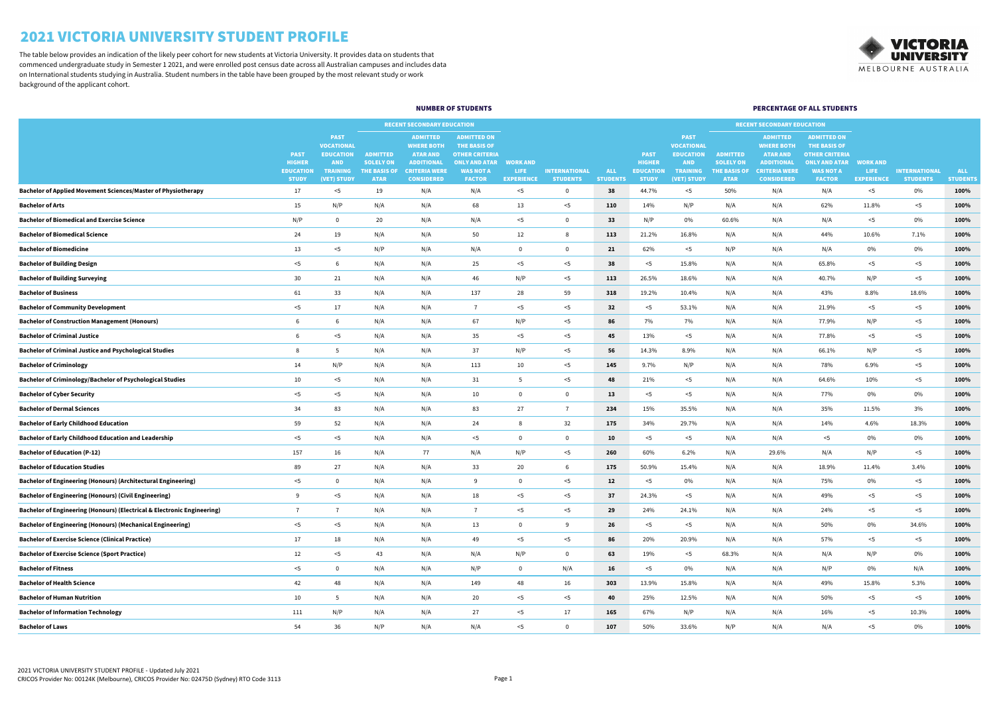|                                                                                    |                                                                  |                                                                                                      |                                                                           | <b>RECENT SECONDARY EDUCATION</b>                                                                                         |                                                                                                                                 |                                               |                                         |                               |                                                                  |                                                                                                      | <b>RECENT SECONDARY EDUCATION</b>                                         |                                                                                                                           |                                                                                                                                 |                                                     |                                         |                               |
|------------------------------------------------------------------------------------|------------------------------------------------------------------|------------------------------------------------------------------------------------------------------|---------------------------------------------------------------------------|---------------------------------------------------------------------------------------------------------------------------|---------------------------------------------------------------------------------------------------------------------------------|-----------------------------------------------|-----------------------------------------|-------------------------------|------------------------------------------------------------------|------------------------------------------------------------------------------------------------------|---------------------------------------------------------------------------|---------------------------------------------------------------------------------------------------------------------------|---------------------------------------------------------------------------------------------------------------------------------|-----------------------------------------------------|-----------------------------------------|-------------------------------|
|                                                                                    | <b>PAST</b><br><b>HIGHER</b><br><b>EDUCATION</b><br><b>STUDY</b> | <b>PAST</b><br><b>VOCATIONAL</b><br><b>EDUCATION</b><br><b>AND</b><br><b>TRAINING</b><br>(VET) STUDY | <b>ADMITTED</b><br><b>SOLELY ON</b><br><b>THE BASIS OF</b><br><b>ATAR</b> | <b>ADMITTED</b><br><b>WHERE BOTH</b><br><b>ATAR AND</b><br><b>ADDITIONAL</b><br><b>CRITERIA WERE</b><br><b>CONSIDERED</b> | <b>ADMITTED ON</b><br><b>THE BASIS OF</b><br><b>OTHER CRITERIA</b><br><b>ONLY AND ATAR</b><br><b>WAS NOT A</b><br><b>FACTOR</b> | <b>WORK AND</b><br>LIFE.<br><b>EXPERIENCE</b> | <b>INTERNATIONAL</b><br><b>STUDENTS</b> | <b>ALL</b><br><b>STUDENTS</b> | <b>PAST</b><br><b>HIGHER</b><br><b>EDUCATION</b><br><b>STUDY</b> | <b>PAST</b><br><b>VOCATIONAL</b><br><b>EDUCATION</b><br><b>AND</b><br><b>TRAINING</b><br>(VET) STUDY | <b>ADMITTED</b><br><b>SOLELY ON</b><br><b>THE BASIS OF</b><br><b>ATAR</b> | <b>ADMITTED</b><br><b>WHERE BOTH</b><br><b>ATAR AND</b><br><b>ADDITIONAL</b><br><b>CRITERIA WERE</b><br><b>CONSIDERED</b> | <b>ADMITTED ON</b><br><b>THE BASIS OF</b><br><b>OTHER CRITERIA</b><br><b>ONLY AND ATAR</b><br><b>WAS NOT A</b><br><b>FACTOR</b> | <b>WORK AND</b><br><b>LIFE</b><br><b>EXPERIENCE</b> | <b>INTERNATIONAL</b><br><b>STUDENTS</b> | <b>ALL</b><br><b>STUDENTS</b> |
| <b>Bachelor of Applied Movement Sciences/Master of Physiotherapy</b>               | 17                                                               | - 15                                                                                                 | 19                                                                        | N/A                                                                                                                       | N/A                                                                                                                             | $<$ 5                                         | $\Omega$                                | 38                            | 44.7%                                                            | $<$ 5                                                                                                | 50%                                                                       | N/A                                                                                                                       | N/A                                                                                                                             | $5$                                                 | 0%                                      | 100%                          |
| <b>Bachelor of Arts</b>                                                            | 15                                                               | N/P                                                                                                  | N/A                                                                       | N/A                                                                                                                       | 68                                                                                                                              | 13                                            | $<$ 5                                   | 110                           | 14%                                                              | N/P                                                                                                  | N/A                                                                       | N/A                                                                                                                       | 62%                                                                                                                             | 11.8%                                               | $<$ 5                                   | 100%                          |
| <b>Bachelor of Biomedical and Exercise Science</b>                                 | N/P                                                              |                                                                                                      | 20                                                                        | N/A                                                                                                                       | N/A                                                                                                                             | $<$ 5                                         | $\mathbf{0}$                            | 33 <sup>2</sup>               | N/P                                                              | $0\%$                                                                                                | 60.6%                                                                     | N/A                                                                                                                       | N/A                                                                                                                             | $<$ 5                                               | 0%                                      | 100%                          |
| <b>Bachelor of Biomedical Science</b>                                              | 24                                                               | 19                                                                                                   | N/A                                                                       | N/A                                                                                                                       | 50                                                                                                                              | 12                                            | 8                                       | 113                           | 21.2%                                                            | 16.8%                                                                                                | N/A                                                                       | N/A                                                                                                                       | 44%                                                                                                                             | 10.6%                                               | 7.1%                                    | 100%                          |
| <b>Bachelor of Biomedicine</b>                                                     | 13                                                               | $<$ 5                                                                                                | N/P                                                                       | N/A                                                                                                                       | N/A                                                                                                                             | -0                                            | $\mathbf{0}$                            | 21                            | 62%                                                              | $<$ 5                                                                                                | N/P                                                                       | N/A                                                                                                                       | N/A                                                                                                                             | $0\%$                                               | 0%                                      | 100%                          |
| <b>Bachelor of Building Design</b>                                                 | $<$ 5                                                            |                                                                                                      | N/A                                                                       | N/A                                                                                                                       | 25                                                                                                                              | $<$ 5                                         | $<$ 5                                   | 38                            | $<$ 5                                                            | 15.8%                                                                                                | N/A                                                                       | N/A                                                                                                                       | 65.8%                                                                                                                           | $<$ 5                                               | $<$ 5                                   | 100%                          |
| <b>Bachelor of Building Surveying</b>                                              | 30 <sup>°</sup>                                                  | 21                                                                                                   | N/A                                                                       | N/A                                                                                                                       | 46                                                                                                                              | N/P                                           | $<$ 5                                   | 113                           | 26.5%                                                            | 18.6%                                                                                                | N/A                                                                       | N/A                                                                                                                       | 40.7%                                                                                                                           | N/P                                                 | $<$ 5                                   | 100%                          |
| <b>Bachelor of Business</b>                                                        | 61                                                               | 33                                                                                                   | N/A                                                                       | N/A                                                                                                                       | 137                                                                                                                             | 28                                            | 59                                      | 318                           | 19.2%                                                            | 10.4%                                                                                                | N/A                                                                       | N/A                                                                                                                       | 43%                                                                                                                             | 8.8%                                                | 18.6%                                   | 100%                          |
| <b>Bachelor of Community Development</b>                                           | $<$ 5                                                            | 17                                                                                                   | N/A                                                                       | N/A                                                                                                                       |                                                                                                                                 | $<$ 5                                         | $<$ 5                                   | 32                            | $<$ 5                                                            | 53.1%                                                                                                | N/A                                                                       | N/A                                                                                                                       | 21.9%                                                                                                                           | $<$ 5                                               | $<$ 5                                   | 100%                          |
| <b>Bachelor of Construction Management (Honours)</b>                               | -6                                                               |                                                                                                      | N/A                                                                       | N/A                                                                                                                       | 67                                                                                                                              | N/P                                           | $<$ 5                                   | 86                            | 7%                                                               | 7%                                                                                                   | N/A                                                                       | N/A                                                                                                                       | 77.9%                                                                                                                           | N/P                                                 | $<$ 5                                   | 100%                          |
| <b>Bachelor of Criminal Justice</b>                                                |                                                                  | $<$ 5                                                                                                | N/A                                                                       | N/A                                                                                                                       | 35                                                                                                                              | $<$ 5                                         | $<$ 5                                   | 45                            | 13%                                                              | $<$ 5                                                                                                | N/A                                                                       | N/A                                                                                                                       | 77.8%                                                                                                                           | $<$ 5                                               | $<$ 5                                   | 100%                          |
| <b>Bachelor of Criminal Justice and Psychological Studies</b>                      |                                                                  |                                                                                                      | N/A                                                                       | N/A                                                                                                                       | 37                                                                                                                              | N/P                                           | $<$ 5                                   | 56                            | 14.3%                                                            | 8.9%                                                                                                 | N/A                                                                       | N/A                                                                                                                       | 66.1%                                                                                                                           | N/P                                                 | $<$ 5                                   | 100%                          |
| <b>Bachelor of Criminology</b>                                                     | 14                                                               | N/P                                                                                                  | N/A                                                                       | N/A                                                                                                                       | 113                                                                                                                             | 10                                            | $<$ 5                                   | 145                           | 9.7%                                                             | N/P                                                                                                  | N/A                                                                       | N/A                                                                                                                       | 78%                                                                                                                             | 6.9%                                                | $<$ 5                                   | 100%                          |
| <b>Bachelor of Criminology/Bachelor of Psychological Studies</b>                   | 10 <sup>°</sup>                                                  | $<$ 5                                                                                                | N/A                                                                       | N/A                                                                                                                       | 31                                                                                                                              |                                               | $<$ 5                                   | 48                            | 21%                                                              | $<$ 5                                                                                                | N/A                                                                       | N/A                                                                                                                       | 64.6%                                                                                                                           | 10%                                                 | $<$ 5                                   | 100%                          |
| <b>Bachelor of Cyber Security</b>                                                  | $<$ 5                                                            | - 15                                                                                                 | N/A                                                                       | N/A                                                                                                                       | 10                                                                                                                              |                                               | $\Omega$                                | 13                            | <5                                                               | $<$ 5                                                                                                | N/A                                                                       | N/A                                                                                                                       | 77%                                                                                                                             | $0\%$                                               | 0%                                      | 100%                          |
| <b>Bachelor of Dermal Sciences</b>                                                 | 34                                                               | 83                                                                                                   | N/A                                                                       | N/A                                                                                                                       | 83                                                                                                                              | 27                                            |                                         | 234                           | 15%                                                              | 35.5%                                                                                                | N/A                                                                       | N/A                                                                                                                       | 35%                                                                                                                             | 11.5%                                               | 3%                                      | 100%                          |
| <b>Bachelor of Early Childhood Education</b>                                       | 59                                                               | 52                                                                                                   | N/A                                                                       | N/A                                                                                                                       | 24                                                                                                                              |                                               | 32                                      | 175                           | 34%                                                              | 29.7%                                                                                                | N/A                                                                       | N/A                                                                                                                       | 14%                                                                                                                             | 4.6%                                                | 18.3%                                   | 100%                          |
| <b>Bachelor of Early Childhood Education and Leadership</b>                        | $<$ 5                                                            | $<$ 5                                                                                                | N/A                                                                       | N/A                                                                                                                       | $5$                                                                                                                             |                                               | $\mathbf{0}$                            | 10                            | $<$ 5                                                            | $<$ 5                                                                                                | N/A                                                                       | N/A                                                                                                                       | $<$ 5                                                                                                                           | $0\%$                                               | 0%                                      | 100%                          |
| <b>Bachelor of Education (P-12)</b>                                                | 157                                                              | 16                                                                                                   | N/A                                                                       | 77                                                                                                                        | N/A                                                                                                                             | N/P                                           | $<$ 5                                   | 260                           | 60%                                                              | 6.2%                                                                                                 | N/A                                                                       | 29.6%                                                                                                                     | N/A                                                                                                                             | N/P                                                 | $<$ 5                                   | 100%                          |
| <b>Bachelor of Education Studies</b>                                               | 89                                                               | 27                                                                                                   | N/A                                                                       | N/A                                                                                                                       | 33                                                                                                                              | 20                                            | 6                                       | 175                           | 50.9%                                                            | 15.4%                                                                                                | N/A                                                                       | N/A                                                                                                                       | 18.9%                                                                                                                           | 11.4%                                               | 3.4%                                    | 100%                          |
| <b>Bachelor of Engineering (Honours) (Architectural Engineering)</b>               | $<$ 5                                                            |                                                                                                      | N/A                                                                       | N/A                                                                                                                       | - q                                                                                                                             |                                               | $<$ 5                                   | 12                            | $<$ 5                                                            | 0%                                                                                                   | N/A                                                                       | N/A                                                                                                                       | 75%                                                                                                                             | $0\%$                                               | $<$ 5                                   | 100%                          |
| <b>Bachelor of Engineering (Honours) (Civil Engineering)</b>                       | -9                                                               | $5$                                                                                                  | N/A                                                                       | N/A                                                                                                                       | 18                                                                                                                              | $<$ 5                                         | $<$ 5                                   | 37                            | 24.3%                                                            | $<$ 5                                                                                                | N/A                                                                       | N/A                                                                                                                       | 49%                                                                                                                             | $<$ 5                                               | $<$ 5                                   | 100%                          |
| <b>Bachelor of Engineering (Honours) (Electrical &amp; Electronic Engineering)</b> |                                                                  |                                                                                                      | N/A                                                                       | N/A                                                                                                                       |                                                                                                                                 | $<$ 5                                         | $<$ 5                                   | 29                            | 24%                                                              | 24.1%                                                                                                | N/A                                                                       | N/A                                                                                                                       | 24%                                                                                                                             | $<$ 5                                               | $<$ 5                                   | 100%                          |
| <b>Bachelor of Engineering (Honours) (Mechanical Engineering)</b>                  | $<$ 5                                                            | $5$                                                                                                  | N/A                                                                       | N/A                                                                                                                       | 13                                                                                                                              | -0                                            | 9                                       | 26                            | $<$ 5                                                            | $<$ 5                                                                                                | N/A                                                                       | N/A                                                                                                                       | 50%                                                                                                                             | $0\%$                                               | 34.6%                                   | 100%                          |
| <b>Bachelor of Exercise Science (Clinical Practice)</b>                            | 17                                                               | 18                                                                                                   | N/A                                                                       | N/A                                                                                                                       | 49                                                                                                                              | $<$ 5                                         | $<$ 5                                   | 86                            | 20%                                                              | 20.9%                                                                                                | N/A                                                                       | N/A                                                                                                                       | 57%                                                                                                                             | $<$ 5                                               | $<$ 5                                   | 100%                          |
| <b>Bachelor of Exercise Science (Sport Practice)</b>                               | 12                                                               | $<$ 5                                                                                                | 43                                                                        | N/A                                                                                                                       | N/A                                                                                                                             | N/P                                           | $\mathbf{0}$                            | 63                            | 19%                                                              | $<$ 5                                                                                                | 68.3%                                                                     | N/A                                                                                                                       | N/A                                                                                                                             | N/P                                                 | $0\%$                                   | 100%                          |
| <b>Bachelor of Fitness</b>                                                         | $<$ 5                                                            |                                                                                                      | N/A                                                                       | N/A                                                                                                                       | N/P                                                                                                                             |                                               | N/A                                     | 16                            | $<$ 5                                                            | 0%                                                                                                   | N/A                                                                       | N/A                                                                                                                       | N/P                                                                                                                             | $0\%$                                               | N/A                                     | 100%                          |
| <b>Bachelor of Health Science</b>                                                  | 42                                                               | 48                                                                                                   | N/A                                                                       | N/A                                                                                                                       | 149                                                                                                                             | 48                                            | 16                                      | 303                           | 13.9%                                                            | 15.8%                                                                                                | N/A                                                                       | N/A                                                                                                                       | 49%                                                                                                                             | 15.8%                                               | 5.3%                                    | 100%                          |
| <b>Bachelor of Human Nutrition</b>                                                 | 10                                                               |                                                                                                      | N/A                                                                       | N/A                                                                                                                       | 20                                                                                                                              | $<$ 5                                         | $<$ 5                                   | 40                            | 25%                                                              | 12.5%                                                                                                | N/A                                                                       | N/A                                                                                                                       | 50%                                                                                                                             | $<$ 5                                               | $<$ 5                                   | 100%                          |
| <b>Bachelor of Information Technology</b>                                          | 111                                                              | N/P                                                                                                  | N/A                                                                       | N/A                                                                                                                       | 27                                                                                                                              | $<$ 5                                         | 17                                      | 165                           | 67%                                                              | N/P                                                                                                  | N/A                                                                       | N/A                                                                                                                       | 16%                                                                                                                             | $<$ 5                                               | 10.3%                                   | 100%                          |
| <b>Bachelor of Laws</b>                                                            | 54                                                               | 36                                                                                                   | N/P                                                                       | N/A                                                                                                                       | N/A                                                                                                                             | $<$ 5                                         | $\mathbf{0}$                            | 107                           | 50%                                                              | 33.6%                                                                                                | N/P                                                                       | N/A                                                                                                                       | N/A                                                                                                                             | $<$ 5                                               | 0%                                      | 100%                          |



# 2021 VICTORIA UNIVERSITY STUDENT PROFILE

### NUMBER OF STUDENTS PERCENTAGE OF ALL STUDENTS

The table below provides an indication of the likely peer cohort for new students at Victoria University. It provides data on students that commenced undergraduate study in Semester 1 2021, and were enrolled post census date across all Australian campuses and includes data on International students studying in Australia. Student numbers in the table have been grouped by the most relevant study or work background of the applicant cohort.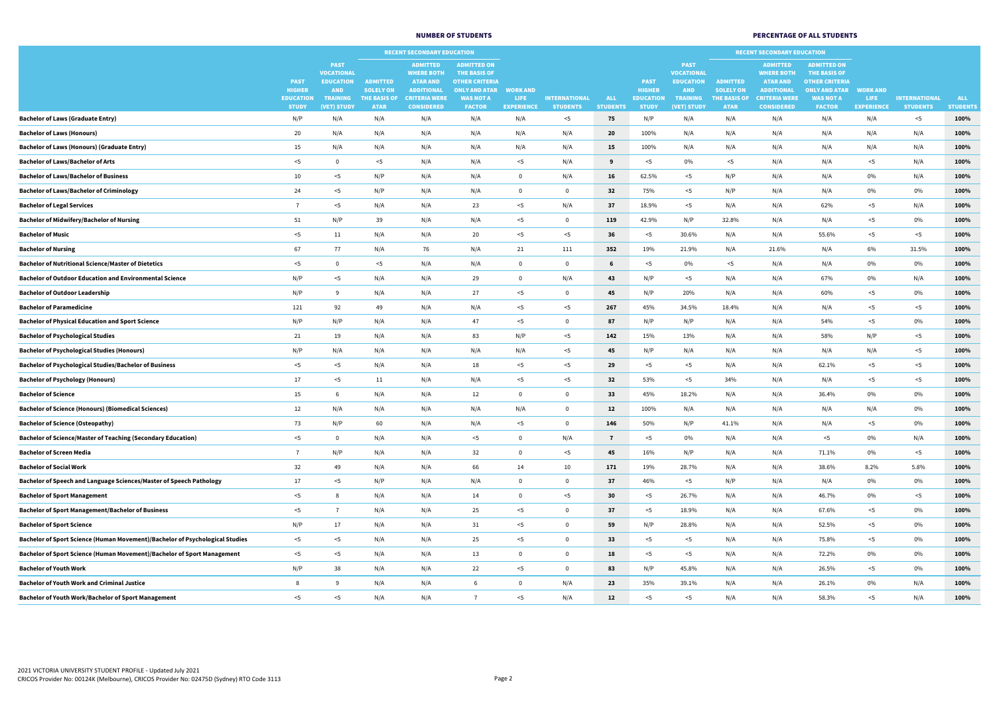|                                                                              |                                  |                                                                    |                                     | <b>RECENT SECONDARY EDUCATION</b>                                            |                                                                                            |                                  |                                         |                               |                                  |                                                                    | <b>RECENT SECONDARY EDUCATION</b>   |                                                                              |                                                                                            |                            |                                         |                               |
|------------------------------------------------------------------------------|----------------------------------|--------------------------------------------------------------------|-------------------------------------|------------------------------------------------------------------------------|--------------------------------------------------------------------------------------------|----------------------------------|-----------------------------------------|-------------------------------|----------------------------------|--------------------------------------------------------------------|-------------------------------------|------------------------------------------------------------------------------|--------------------------------------------------------------------------------------------|----------------------------|-----------------------------------------|-------------------------------|
|                                                                              | <b>PAST</b><br><b>HIGHER</b>     | <b>PAST</b><br><b>VOCATIONAL</b><br><b>EDUCATION</b><br><b>AND</b> | <b>ADMITTED</b><br><b>SOLELY ON</b> | <b>ADMITTED</b><br><b>WHERE BOTH</b><br><b>ATAR AND</b><br><b>ADDITIONAL</b> | <b>ADMITTED ON</b><br><b>THE BASIS OF</b><br><b>OTHER CRITERIA</b><br><b>ONLY AND ATAR</b> | <b>WORK AND</b>                  |                                         |                               | <b>PAST</b><br><b>HIGHER</b>     | <b>PAST</b><br><b>VOCATIONAL</b><br><b>EDUCATION</b><br><b>AND</b> | <b>ADMITTED</b><br><b>SOLELY ON</b> | <b>ADMITTED</b><br><b>WHERE BOTH</b><br><b>ATAR AND</b><br><b>ADDITIONAL</b> | <b>ADMITTED ON</b><br><b>THE BASIS OF</b><br><b>OTHER CRITERIA</b><br><b>ONLY AND ATAR</b> | <b>WORK AND</b>            |                                         |                               |
|                                                                              | <b>EDUCATION</b><br><b>STUDY</b> | <b>TRAINING</b><br>(VET) STUDY                                     | <b>THE BASIS OF</b><br><b>ATAR</b>  | <b>CRITERIA WERE</b><br><b>CONSIDERED</b>                                    | <b>WAS NOT A</b><br><b>FACTOR</b>                                                          | <b>LIFE</b><br><b>EXPERIENCE</b> | <b>INTERNATIONAL</b><br><b>STUDENTS</b> | <b>ALL</b><br><b>STUDENTS</b> | <b>EDUCATION</b><br><b>STUDY</b> | <b>TRAINING</b><br>(VET) STUDY                                     | <b>THE BASIS OF</b><br><b>ATAR</b>  | <b>CRITERIA WERE</b><br><b>CONSIDERED</b>                                    | <b>WAS NOT A</b><br><b>FACTOR</b>                                                          | LIFE.<br><b>EXPERIENCE</b> | <b>INTERNATIONAL</b><br><b>STUDENTS</b> | <b>ALL</b><br><b>STUDENTS</b> |
| <b>Bachelor of Laws (Graduate Entry)</b>                                     | N/P                              | N/A                                                                | N/A                                 | N/A                                                                          | N/A                                                                                        | N/A                              | $<$ 5                                   | 75                            | N/P                              | N/A                                                                | N/A                                 | N/A                                                                          | N/A                                                                                        | N/A                        | $<$ 5                                   | 100%                          |
| <b>Bachelor of Laws (Honours)</b>                                            | 20                               | N/A                                                                | N/A                                 | N/A                                                                          | N/A                                                                                        | N/A                              | N/A                                     | 20                            | 100%                             | N/A                                                                | N/A                                 | N/A                                                                          | N/A                                                                                        | N/A                        | N/A                                     | 100%                          |
| <b>Bachelor of Laws (Honours) (Graduate Entry)</b>                           | 15                               | N/A                                                                | N/A                                 | N/A                                                                          | N/A                                                                                        | N/A                              | N/A                                     | 15                            | 100%                             | N/A                                                                | N/A                                 | N/A                                                                          | N/A                                                                                        | N/A                        | N/A                                     | 100%                          |
| <b>Bachelor of Laws/Bachelor of Arts</b>                                     | $<$ 5                            |                                                                    | $<$ 5                               | N/A                                                                          | N/A                                                                                        | $<$ 5                            | N/A                                     | 9                             | <5                               | 0%                                                                 | $<$ 5                               | N/A                                                                          | N/A                                                                                        | $<$ 5                      | N/A                                     | 100%                          |
| <b>Bachelor of Laws/Bachelor of Business</b>                                 | 10                               | $<$ 5                                                              | N/P                                 | N/A                                                                          | N/A                                                                                        | $\Omega$                         | N/A                                     | <b>16</b>                     | 62.5%                            | $<$ 5                                                              | N/P                                 | N/A                                                                          | N/A                                                                                        | $0\%$                      | N/A                                     | 100%                          |
| <b>Bachelor of Laws/Bachelor of Criminology</b>                              | 24                               | $<$ 5                                                              | N/P                                 | N/A                                                                          | N/A                                                                                        | $\Omega$                         | $\Omega$                                | 32                            | 75%                              | $<$ 5                                                              | N/P                                 | N/A                                                                          | N/A                                                                                        | $0\%$                      | 0%                                      | 100%                          |
| <b>Bachelor of Legal Services</b>                                            |                                  | $<$ 5                                                              | N/A                                 | N/A                                                                          | 23                                                                                         | $<$ 5                            | N/A                                     | 37                            | 18.9%                            | $<$ 5                                                              | N/A                                 | N/A                                                                          | 62%                                                                                        | $<$ 5                      | N/A                                     | 100%                          |
| <b>Bachelor of Midwifery/Bachelor of Nursing</b>                             | 51                               | N/P                                                                | 39                                  | N/A                                                                          | N/A                                                                                        | $<$ 5                            | $\Omega$                                | 119                           | 42.9%                            | N/P                                                                | 32.8%                               | N/A                                                                          | N/A                                                                                        | $<$ 5                      | 0%                                      | 100%                          |
| <b>Bachelor of Music</b>                                                     | $<$ 5                            | 11                                                                 | N/A                                 | N/A                                                                          | 20                                                                                         | $<$ 5                            | $<$ 5                                   | 36                            | <5                               | 30.6%                                                              | N/A                                 | N/A                                                                          | 55.6%                                                                                      | $<$ 5                      | $<$ 5                                   | 100%                          |
| <b>Bachelor of Nursing</b>                                                   | 67                               | 77                                                                 | N/A                                 | 76                                                                           | N/A                                                                                        | 21                               | 111                                     | 352                           | 19%                              | 21.9%                                                              | N/A                                 | 21.6%                                                                        | N/A                                                                                        | 6%                         | 31.5%                                   | 100%                          |
| <b>Bachelor of Nutritional Science/Master of Dietetics</b>                   | $<$ 5                            |                                                                    | $<$ 5                               | N/A                                                                          | N/A                                                                                        | $\overline{0}$                   | $\mathbf{0}$                            | $6\phantom{1}6$               | $<$ 5                            | 0%                                                                 | $<$ 5                               | N/A                                                                          | N/A                                                                                        | $0\%$                      | $0\%$                                   | 100%                          |
| <b>Bachelor of Outdoor Education and Environmental Science</b>               | N/P                              | $5$                                                                | N/A                                 | N/A                                                                          | 29                                                                                         |                                  | N/A                                     | 43                            | N/P                              | $<$ 5                                                              | N/A                                 | N/A                                                                          | 67%                                                                                        | $0\%$                      | N/A                                     | 100%                          |
| <b>Bachelor of Outdoor Leadership</b>                                        | N/P                              |                                                                    | N/A                                 | N/A                                                                          | 27                                                                                         | $<$ 5                            | $\mathbf{0}$                            | 45                            | N/P                              | 20%                                                                | N/A                                 | N/A                                                                          | 60%                                                                                        | $<$ 5                      | 0%                                      | 100%                          |
| <b>Bachelor of Paramedicine</b>                                              | 121                              | 92                                                                 | 49                                  | N/A                                                                          | N/A                                                                                        | $<$ 5                            | $<$ 5                                   | 267                           | 45%                              | 34.5%                                                              | 18.4%                               | N/A                                                                          | N/A                                                                                        | $<$ 5                      | $<$ 5                                   | 100%                          |
| <b>Bachelor of Physical Education and Sport Science</b>                      | N/P                              | N/P                                                                | N/A                                 | N/A                                                                          | 47                                                                                         | $<$ 5                            |                                         | 87                            | N/P                              | N/P                                                                | N/A                                 | N/A                                                                          | 54%                                                                                        | $<$ 5                      | $0\%$                                   | 100%                          |
| <b>Bachelor of Psychological Studies</b>                                     | 21                               | 19                                                                 | N/A                                 | N/A                                                                          | 83                                                                                         | N/P                              | $<$ 5                                   | 142                           | 15%                              | 13%                                                                | N/A                                 | N/A                                                                          | 58%                                                                                        | N/P                        | $<$ 5                                   | 100%                          |
| <b>Bachelor of Psychological Studies (Honours)</b>                           | N/P                              | N/A                                                                | N/A                                 | N/A                                                                          | N/A                                                                                        | N/A                              | $<$ 5                                   | 45                            | N/P                              | N/A                                                                | N/A                                 | N/A                                                                          | N/A                                                                                        | N/A                        | $<$ 5                                   | 100%                          |
| <b>Bachelor of Psychological Studies/Bachelor of Business</b>                | $<$ 5                            | $<$ 5                                                              | N/A                                 | N/A                                                                          | 18                                                                                         | $<$ 5                            | $<$ 5                                   | 29                            | $<$ 5                            | $<$ 5                                                              | N/A                                 | N/A                                                                          | 62.1%                                                                                      | $<$ 5                      | $<$ 5                                   | 100%                          |
| <b>Bachelor of Psychology (Honours)</b>                                      | 17                               | $<$ 5                                                              | 11                                  | N/A                                                                          | N/A                                                                                        | $<$ 5                            | $<$ 5                                   | 32                            | 53%                              | $<$ 5                                                              | 34%                                 | N/A                                                                          | N/A                                                                                        | $<$ 5                      | $<$ 5                                   | 100%                          |
| <b>Bachelor of Science</b>                                                   | 15                               |                                                                    | N/A                                 | N/A                                                                          | 12                                                                                         |                                  | $\mathbf 0$                             | 33 <sup>2</sup>               | 45%                              | 18.2%                                                              | N/A                                 | N/A                                                                          | 36.4%                                                                                      | $0\%$                      | $0\%$                                   | 100%                          |
| <b>Bachelor of Science (Honours) (Biomedical Sciences)</b>                   | 12                               | N/A                                                                | N/A                                 | N/A                                                                          | N/A                                                                                        | N/A                              | $\mathbf{0}$                            | 12                            | 100%                             | N/A                                                                | N/A                                 | N/A                                                                          | N/A                                                                                        | N/A                        | $0\%$                                   | 100%                          |
| <b>Bachelor of Science (Osteopathy)</b>                                      | 73                               | N/P                                                                | 60                                  | N/A                                                                          | N/A                                                                                        | $<$ 5                            | $\Omega$                                | 146                           | 50%                              | N/P                                                                | 41.1%                               | N/A                                                                          | N/A                                                                                        | $<$ 5                      | 0%                                      | 100%                          |
| <b>Bachelor of Science/Master of Teaching (Secondary Education)</b>          | $<$ 5                            |                                                                    | N/A                                 | N/A                                                                          | $<$ 5                                                                                      |                                  | N/A                                     | $\overline{7}$                | $<$ 5                            | 0%                                                                 | N/A                                 | N/A                                                                          | $<$ 5                                                                                      | 0%                         | N/A                                     | 100%                          |
| <b>Bachelor of Screen Media</b>                                              |                                  | N/P                                                                | N/A                                 | N/A                                                                          | 32                                                                                         |                                  | $<$ 5                                   | 45                            | 16%                              | N/P                                                                | N/A                                 | N/A                                                                          | 71.1%                                                                                      | 0%                         | $<$ 5                                   | 100%                          |
| <b>Bachelor of Social Work</b>                                               | 32                               | 49                                                                 | N/A                                 | N/A                                                                          | 66                                                                                         | 14                               | 10                                      | 171                           | 19%                              | 28.7%                                                              | N/A                                 | N/A                                                                          | 38.6%                                                                                      | 8.2%                       | 5.8%                                    | 100%                          |
| Bachelor of Speech and Language Sciences/Master of Speech Pathology          | 17                               | $<$ 5                                                              | N/P                                 | N/A                                                                          | N/A                                                                                        |                                  | $\Omega$                                | 37                            | 46%                              | $<$ 5                                                              | N/P                                 | N/A                                                                          | N/A                                                                                        | 0%                         | 0%                                      | 100%                          |
| <b>Bachelor of Sport Management</b>                                          | $<$ 5                            |                                                                    | N/A                                 | N/A                                                                          | 14                                                                                         |                                  | $<$ 5                                   | 30 <sub>o</sub>               | 5                                | 26.7%                                                              | N/A                                 | N/A                                                                          | 46.7%                                                                                      | 0%                         | $<$ 5                                   | 100%                          |
| <b>Bachelor of Sport Management/Bachelor of Business</b>                     | $<$ 5                            |                                                                    | N/A                                 | N/A                                                                          | 25                                                                                         | $<$ 5                            | $\Omega$                                | 37                            | <5                               | 18.9%                                                              | N/A                                 | N/A                                                                          | 67.6%                                                                                      | $<$ 5                      | 0%                                      | 100%                          |
| <b>Bachelor of Sport Science</b>                                             | N/P                              | 17                                                                 | N/A                                 | N/A                                                                          | 31                                                                                         | $<$ 5                            | $\Omega$                                | 59                            | N/P                              | 28.8%                                                              | N/A                                 | N/A                                                                          | 52.5%                                                                                      | $<$ 5                      | $0\%$                                   | 100%                          |
| Bachelor of Sport Science (Human Movement)/Bachelor of Psychological Studies | $<$ 5                            | <5                                                                 | N/A                                 | N/A                                                                          | 25                                                                                         | $<$ 5                            | $\Omega$                                | 33 <sup>2</sup>               | <5                               | $<$ 5                                                              | N/A                                 | N/A                                                                          | 75.8%                                                                                      | $<$ 5                      | $0\%$                                   | 100%                          |
| Bachelor of Sport Science (Human Movement)/Bachelor of Sport Management      | $<$ 5                            | <5                                                                 | N/A                                 | N/A                                                                          | 13                                                                                         |                                  | $\Omega$                                | 18                            | $<$ 5                            | $<$ 5                                                              | N/A                                 | N/A                                                                          | 72.2%                                                                                      | $0\%$                      | $0\%$                                   | 100%                          |
| <b>Bachelor of Youth Work</b>                                                | N/P                              | 38                                                                 | N/A                                 | N/A                                                                          | 22                                                                                         | $<$ 5                            | $\Omega$                                | 83                            | N/P                              | 45.8%                                                              | N/A                                 | N/A                                                                          | 26.5%                                                                                      | $<$ 5                      | $0\%$                                   | 100%                          |
| <b>Bachelor of Youth Work and Criminal Justice</b>                           |                                  |                                                                    | N/A                                 | N/A                                                                          |                                                                                            |                                  | N/A                                     | 23                            | 35%                              | 39.1%                                                              | N/A                                 | N/A                                                                          | 26.1%                                                                                      | $0\%$                      | N/A                                     | 100%                          |
| <b>Bachelor of Youth Work/Bachelor of Sport Management</b>                   | $<$ 5                            | $<$ 5                                                              | N/A                                 | N/A                                                                          |                                                                                            | $5$                              | N/A                                     | 12                            | $<$ 5                            | $5$                                                                | N/A                                 | N/A                                                                          | 58.3%                                                                                      | $5$                        | N/A                                     | 100%                          |

## NUMBER OF STUDENTS AND RESERVE THE STUDENTS OF ALL STUDENTS PERCENTAGE OF ALL STUDENTS